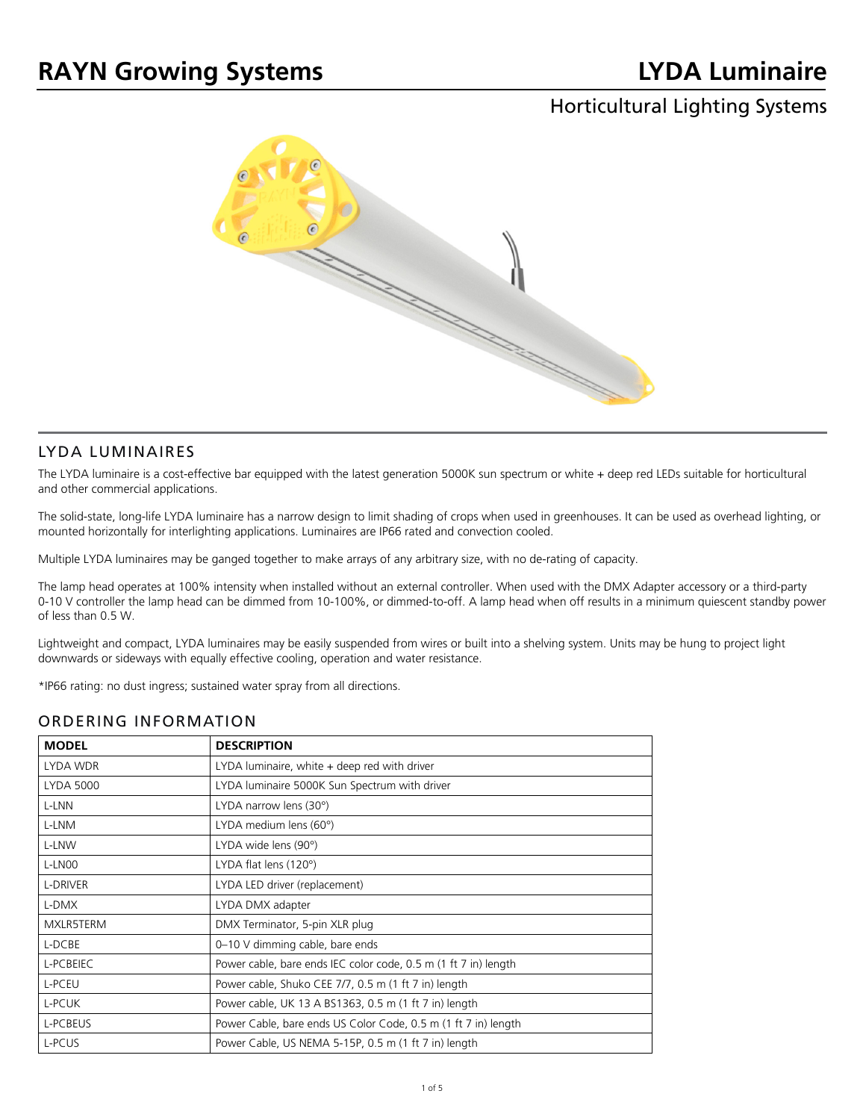# Horticultural Lighting Systems



#### LYDA LUMINAIRES

The LYDA luminaire is a cost-effective bar equipped with the latest generation 5000K sun spectrum or white + deep red LEDs suitable for horticultural and other commercial applications.

The solid-state, long-life LYDA luminaire has a narrow design to limit shading of crops when used in greenhouses. It can be used as overhead lighting, or mounted horizontally for interlighting applications. Luminaires are IP66 rated and convection cooled.

Multiple LYDA luminaires may be ganged together to make arrays of any arbitrary size, with no de-rating of capacity.

The lamp head operates at 100% intensity when installed without an external controller. When used with the DMX Adapter accessory or a third-party 0-10 V controller the lamp head can be dimmed from 10-100%, or dimmed-to-off. A lamp head when off results in a minimum quiescent standby power of less than 0.5 W.

Lightweight and compact, LYDA luminaires may be easily suspended from wires or built into a shelving system. Units may be hung to project light downwards or sideways with equally effective cooling, operation and water resistance.

\*IP66 rating: no dust ingress; sustained water spray from all directions.

#### ORDERING INFORMATION

| <b>MODEL</b>     | <b>DESCRIPTION</b>                                              |
|------------------|-----------------------------------------------------------------|
| LYDA WDR         | LYDA luminaire, white + deep red with driver                    |
| <b>LYDA 5000</b> | LYDA luminaire 5000K Sun Spectrum with driver                   |
| L-LNN            | LYDA narrow lens (30°)                                          |
| L-LNM            | LYDA medium lens (60°)                                          |
| L-LNW            | LYDA wide lens (90°)                                            |
| L-LNOO           | LYDA flat lens (120°)                                           |
| L-DRIVER         | LYDA LED driver (replacement)                                   |
| L-DMX            | LYDA DMX adapter                                                |
| MXLR5TERM        | DMX Terminator, 5-pin XLR plug                                  |
| L-DCBE           | 0-10 V dimming cable, bare ends                                 |
| L-PCBEIEC        | Power cable, bare ends IEC color code, 0.5 m (1 ft 7 in) length |
| L-PCEU           | Power cable, Shuko CEE 7/7, 0.5 m (1 ft 7 in) length            |
| L-PCUK           | Power cable, UK 13 A BS1363, 0.5 m (1 ft 7 in) length           |
| L-PCBEUS         | Power Cable, bare ends US Color Code, 0.5 m (1 ft 7 in) length  |
| L-PCUS           | Power Cable, US NEMA 5-15P, 0.5 m (1 ft 7 in) length            |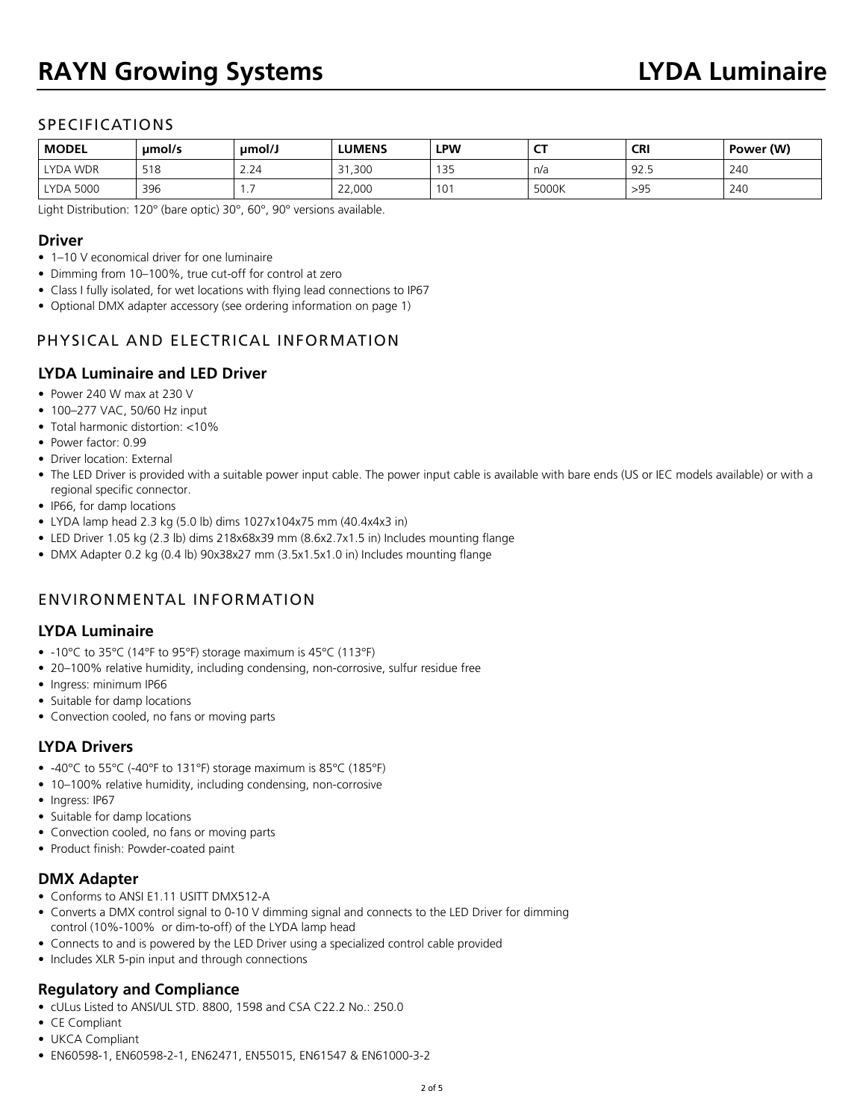# **RAYN Growing Systems LYDA Luminaire**

# SPECIFICATIONS

| <b>MODEL</b>     | umol/s | umol/J | <b>LUMENS</b> | <b>LPW</b>  | $-$<br>∼ | <b>CRI</b> | Power (W) |
|------------------|--------|--------|---------------|-------------|----------|------------|-----------|
| LYDA WDR         | 518    | 2.24   | 31,300        | 1 つに<br>ت ب | n/a      | 92.5       | 240       |
| <b>LYDA 5000</b> | 396    | .      | 22,000        | $\sim$<br>◡ | 5000K    | >95        | 240       |

Light Distribution: 120° (bare optic) 30°, 60°, 90° versions available.

#### **Driver**

- 1–10 V economical driver for one luminaire
- Dimming from 10–100%, true cut-off for control at zero
- Class I fully isolated, for wet locations with flying lead connections to IP67
- Optional DMX adapter accessory (see ordering information on page 1)

# PHYSICAL AND ELECTRICAL INFORMATION

# **LYDA Luminaire and LED Driver**

- Power 240 W max at 230 V
- 100-277 VAC, 50/60 Hz input
- Total harmonic distortion: <10%
- Power factor: 0.99
- Driver location: External
- The LED Driver is provided with a suitable power input cable. The power input cable is available with bare ends (US or IEC models available) or with a regional specific connector.
- IP66, for damp locations
- LYDA lamp head 2.3 kg (5.0 lb) dims 1027x104x75 mm (40.4x4x3 in)
- LED Driver 1.05 kg (2.3 lb) dims 218x68x39 mm (8.6x2.7x1.5 in) Includes mounting flange
- DMX Adapter 0.2 kg (0.4 lb) 90x38x27 mm (3.5x1.5x1.0 in) Includes mounting flange

# ENVIRONMENTAL INFORMATION

#### **LYDA Luminaire**

- -10°C to 35°C (14°F to 95°F) storage maximum is 45°C (113°F)
- 20–100% relative humidity, including condensing, non-corrosive, sulfur residue free
- Ingress: minimum IP66
- Suitable for damp locations
- Convection cooled, no fans or moving parts

#### **LYDA Drivers**

- -40°C to 55°C (-40°F to 131°F) storage maximum is 85°C (185°F)
- 10–100% relative humidity, including condensing, non-corrosive
- Ingress: IP67
- Suitable for damp locations
- Convection cooled, no fans or moving parts
- Product finish: Powder-coated paint

#### **DMX Adapter**

- Conforms to ANSI E1.11 USITT DMX512-A
- Converts a DMX control signal to 0-10 V dimming signal and connects to the LED Driver for dimming control (10%-100% or dim-to-off) of the LYDA lamp head
- Connects to and is powered by the LED Driver using a specialized control cable provided
- Includes XLR 5-pin input and through connections

# **Regulatory and Compliance**

- cULus Listed to ANSI/UL STD. 8800, 1598 and CSA C22.2 No.: 250.0
- CE Compliant
- UKCA Compliant
- EN60598-1, EN60598-2-1, EN62471, EN55015, EN61547 & EN61000-3-2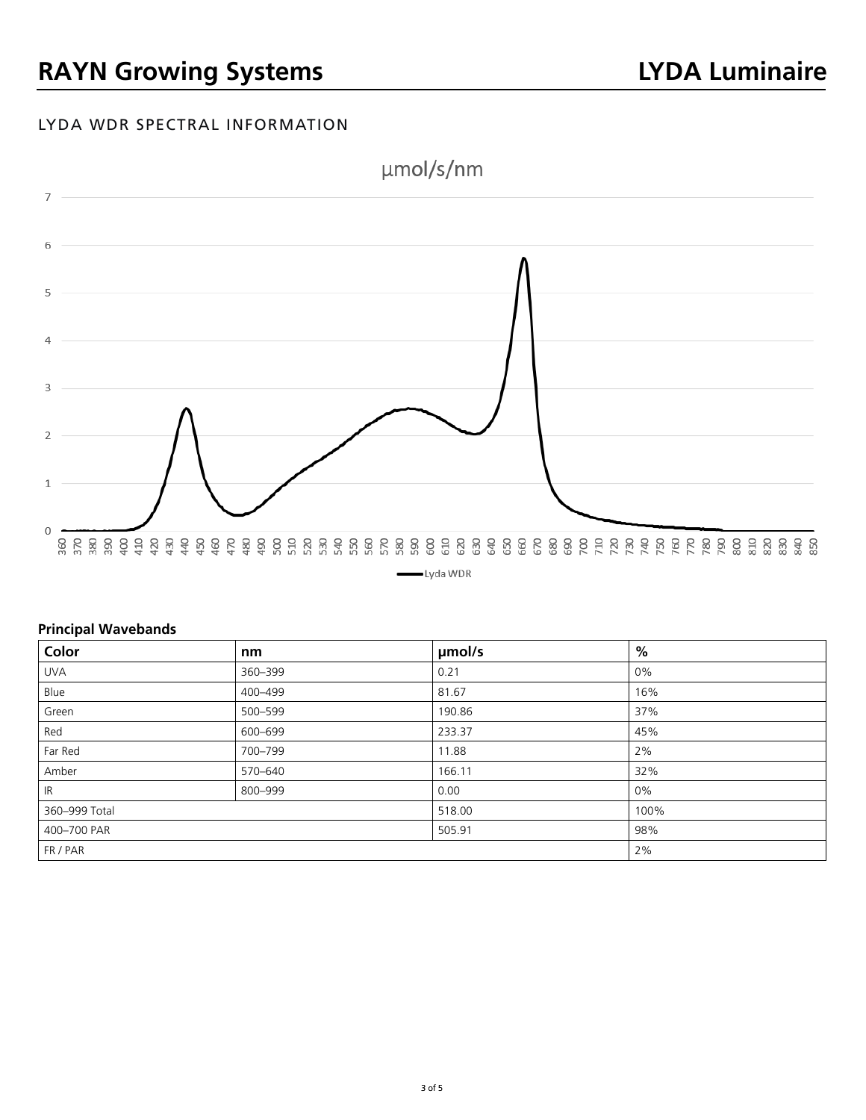# LYDA WDR SPECTRAL INFORMATION



#### **Principal Wavebands**

| Color         | nm      | µmol/s | %    |
|---------------|---------|--------|------|
| <b>UVA</b>    | 360-399 | 0.21   | 0%   |
| Blue          | 400-499 | 81.67  | 16%  |
| Green         | 500-599 | 190.86 | 37%  |
| Red           | 600-699 | 233.37 | 45%  |
| Far Red       | 700-799 | 11.88  | 2%   |
| Amber         | 570-640 | 166.11 | 32%  |
| IR            | 800-999 | 0.00   | 0%   |
| 360-999 Total |         | 518.00 | 100% |
| 400-700 PAR   |         | 505.91 | 98%  |
| FR / PAR      |         |        | 2%   |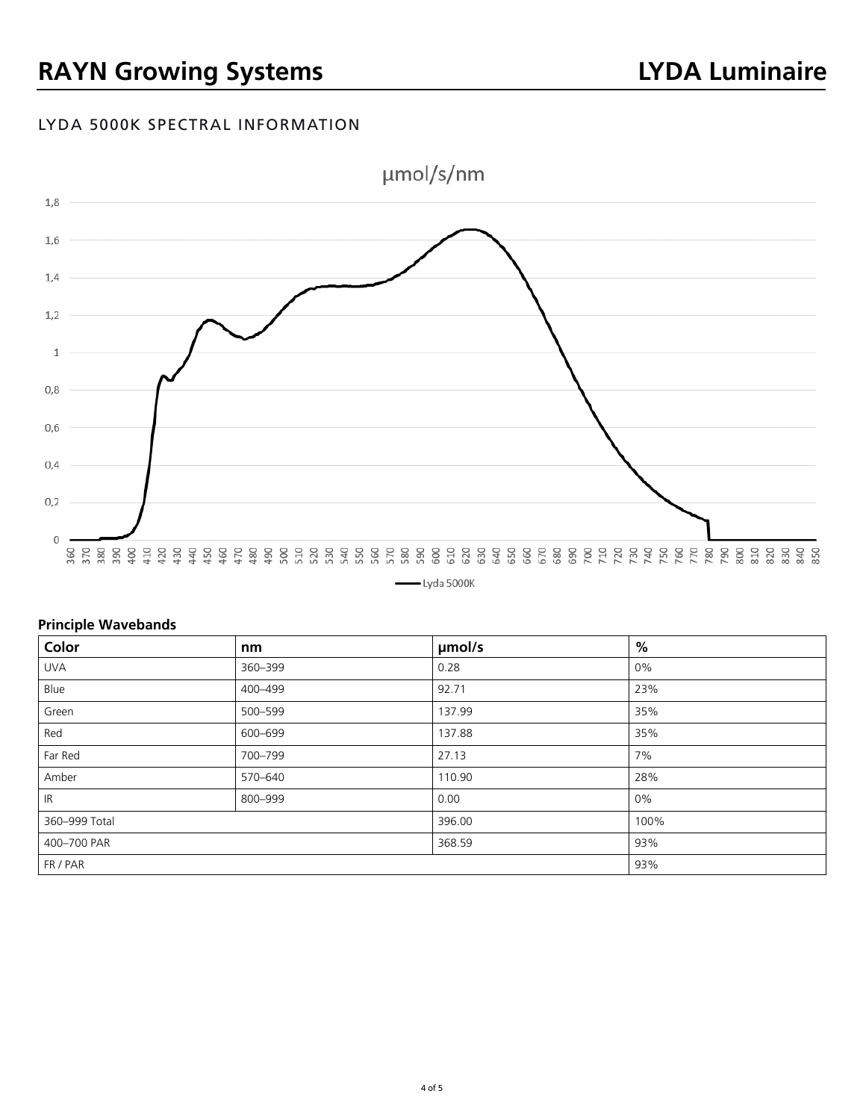# LYDA 5000K SPECTRAL INFORMATION



### **Principle Wavebands**

| Color         | nm      | µmol/s | %    |
|---------------|---------|--------|------|
| <b>UVA</b>    | 360-399 | 0.28   | 0%   |
| Blue          | 400-499 | 92.71  | 23%  |
| Green         | 500-599 | 137.99 | 35%  |
| Red           | 600-699 | 137.88 | 35%  |
| Far Red       | 700-799 | 27.13  | 7%   |
| Amber         | 570-640 | 110.90 | 28%  |
| IR            | 800-999 | 0.00   | 0%   |
| 360-999 Total |         | 396.00 | 100% |
| 400-700 PAR   |         | 368.59 | 93%  |
| FR / PAR      |         |        | 93%  |